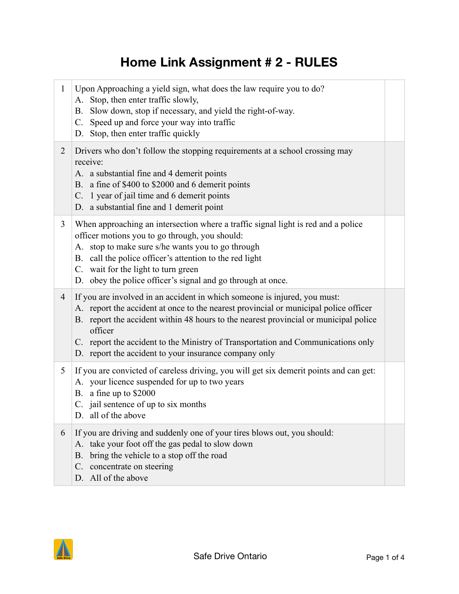## **Home Link Assignment # 2 - RULES**

| $\mathbf{1}$   | Upon Approaching a yield sign, what does the law require you to do?<br>A. Stop, then enter traffic slowly,<br>B. Slow down, stop if necessary, and yield the right-of-way.<br>C. Speed up and force your way into traffic<br>D. Stop, then enter traffic quickly                                                                                                                                                  |  |
|----------------|-------------------------------------------------------------------------------------------------------------------------------------------------------------------------------------------------------------------------------------------------------------------------------------------------------------------------------------------------------------------------------------------------------------------|--|
| $\overline{2}$ | Drivers who don't follow the stopping requirements at a school crossing may<br>receive:<br>A. a substantial fine and 4 demerit points<br>B. a fine of \$400 to \$2000 and 6 demerit points<br>C. 1 year of jail time and 6 demerit points<br>D. a substantial fine and 1 demerit point                                                                                                                            |  |
| 3              | When approaching an intersection where a traffic signal light is red and a police<br>officer motions you to go through, you should:<br>A. stop to make sure s/he wants you to go through<br>B. call the police officer's attention to the red light<br>C. wait for the light to turn green<br>D. obey the police officer's signal and go through at once.                                                         |  |
| $\overline{4}$ | If you are involved in an accident in which someone is injured, you must:<br>A. report the accident at once to the nearest provincial or municipal police officer<br>B. report the accident within 48 hours to the nearest provincial or municipal police<br>officer<br>C. report the accident to the Ministry of Transportation and Communications only<br>D. report the accident to your insurance company only |  |
| 5              | If you are convicted of careless driving, you will get six demerit points and can get:<br>A. your licence suspended for up to two years<br>B. a fine up to \$2000<br>C. jail sentence of up to six months<br>D. all of the above                                                                                                                                                                                  |  |
| 6              | If you are driving and suddenly one of your tires blows out, you should:<br>A. take your foot off the gas pedal to slow down<br>bring the vehicle to a stop off the road<br><b>B.</b><br>concentrate on steering<br>C.<br>D. All of the above                                                                                                                                                                     |  |

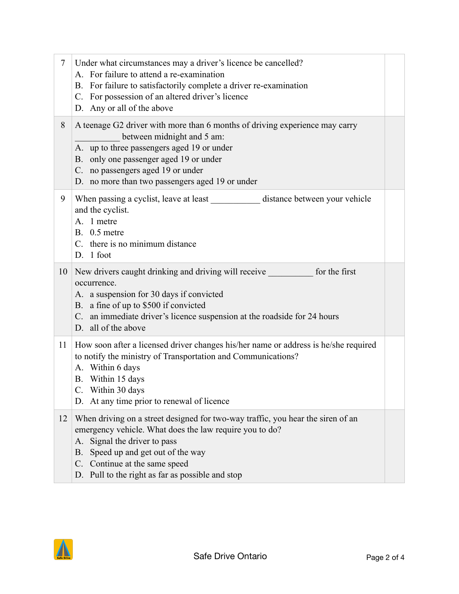| $\tau$ | Under what circumstances may a driver's licence be cancelled?<br>A. For failure to attend a re-examination<br>B. For failure to satisfactorily complete a driver re-examination<br>C. For possession of an altered driver's licence<br>D. Any or all of the above                                           |  |
|--------|-------------------------------------------------------------------------------------------------------------------------------------------------------------------------------------------------------------------------------------------------------------------------------------------------------------|--|
| 8      | A teenage G2 driver with more than 6 months of driving experience may carry<br>between midnight and 5 am:<br>A. up to three passengers aged 19 or under<br>B. only one passenger aged 19 or under<br>C. no passengers aged 19 or under<br>D. no more than two passengers aged 19 or under                   |  |
| 9      | When passing a cyclist, leave at least _______________ distance between your vehicle<br>and the cyclist.<br>A. 1 metre<br>$B.$ 0.5 metre<br>C. there is no minimum distance<br>D. 1 foot                                                                                                                    |  |
| 10     | New drivers caught drinking and driving will receive for the first<br>occurrence.<br>A. a suspension for 30 days if convicted<br>B. a fine of up to \$500 if convicted<br>C. an immediate driver's licence suspension at the roadside for 24 hours<br>D. all of the above                                   |  |
| 11     | How soon after a licensed driver changes his/her name or address is he/she required<br>to notify the ministry of Transportation and Communications?<br>A. Within 6 days<br>B. Within 15 days<br>C. Within 30 days<br>D. At any time prior to renewal of licence                                             |  |
| 12     | When driving on a street designed for two-way traffic, you hear the siren of an<br>emergency vehicle. What does the law require you to do?<br>Signal the driver to pass<br>A.<br>Speed up and get out of the way<br>B.<br>C. Continue at the same speed<br>D. Pull to the right as far as possible and stop |  |

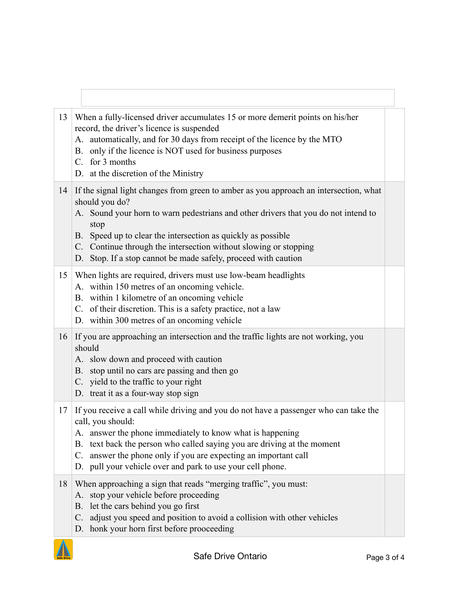| 13 | When a fully-licensed driver accumulates 15 or more demerit points on his/her<br>record, the driver's licence is suspended<br>A. automatically, and for 30 days from receipt of the licence by the MTO<br>B. only if the licence is NOT used for business purposes<br>C. for 3 months<br>D. at the discretion of the Ministry                                                                               |  |
|----|-------------------------------------------------------------------------------------------------------------------------------------------------------------------------------------------------------------------------------------------------------------------------------------------------------------------------------------------------------------------------------------------------------------|--|
| 14 | If the signal light changes from green to amber as you approach an intersection, what<br>should you do?<br>A. Sound your horn to warn pedestrians and other drivers that you do not intend to<br>stop<br>B. Speed up to clear the intersection as quickly as possible<br>C. Continue through the intersection without slowing or stopping<br>D. Stop. If a stop cannot be made safely, proceed with caution |  |
| 15 | When lights are required, drivers must use low-beam headlights<br>A. within 150 metres of an oncoming vehicle.<br>B. within 1 kilometre of an oncoming vehicle<br>C. of their discretion. This is a safety practice, not a law<br>D. within 300 metres of an oncoming vehicle                                                                                                                               |  |
| 16 | If you are approaching an intersection and the traffic lights are not working, you<br>should<br>A. slow down and proceed with caution<br>B. stop until no cars are passing and then go<br>C. yield to the traffic to your right<br>D. treat it as a four-way stop sign                                                                                                                                      |  |
| 17 | If you receive a call while driving and you do not have a passenger who can take the<br>call, you should:<br>A. answer the phone immediately to know what is happening<br>B. text back the person who called saying you are driving at the moment<br>answer the phone only if you are expecting an important call<br>C.<br>D. pull your vehicle over and park to use your cell phone.                       |  |
| 18 | When approaching a sign that reads "merging traffic", you must:<br>stop your vehicle before proceeding<br>A.<br>let the cars behind you go first<br>B.<br>adjust you speed and position to avoid a collision with other vehicles<br>C.<br>D. honk your horn first before prooceeding                                                                                                                        |  |